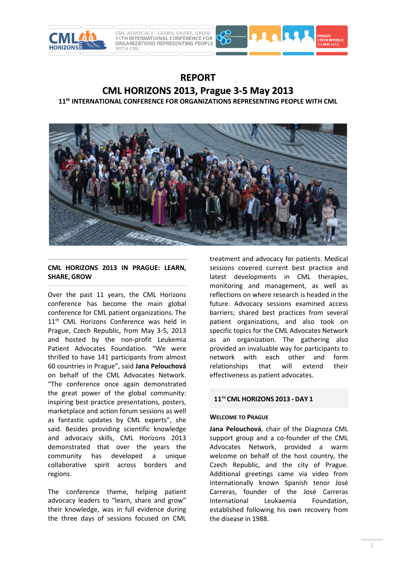



# **REPORT CML HORIZONS 2013, Prague 3-5 May 2013**

**11th INTERNATIONAL CONFERENCE FOR ORGANIZATIONS REPRESENTING PEOPLE WITH CML**



# **CML HORIZONS 2013 IN PRAGUE: LEARN, SHARE, GROW**

Over the past 11 years, the CML Horizons conference has become the main global conference for CML patient organizations. The 11<sup>th</sup> CML Horizons Conference was held in Prague, Czech Republic, from May 3-5, 2013 and hosted by the non-profit Leukemia Patient Advocates Foundation. "We were thrilled to have 141 participants from almost 60 countries in Prague", said **Jana Pelouchová** on behalf of the CML Advocates Network. "The conference once again demonstrated the great power of the global community: inspiring best practice presentations, posters, marketplace and action forum sessions as well as fantastic updates by CML experts", she said. Besides providing scientific knowledge and advocacy skills, CML Horizons 2013 demonstrated that over the years the community has developed a unique collaborative spirit across borders and regions.

The conference theme, helping patient advocacy leaders to "learn, share and grow" their knowledge, was in full evidence during the three days of sessions focused on CML

treatment and advocacy for patients. Medical sessions covered current best practice and latest developments in CML therapies, monitoring and management, as well as reflections on where research is headed in the future. Advocacy sessions examined access barriers; shared best practices from several patient organizations, and also took on specific topics for the CML Advocates Network as an organization. The gathering also provided an invaluable way for participants to network with each other and form relationships that will extend their effectiveness as patient advocates.

# **11TH CML HORIZONS 2013 - DAY 1**

# **WELCOME TO PRAGUE**

**Jana Pelouchová**, chair of the Diagnoza CML support group and a co-founder of the CML Advocates Network, provided a warm welcome on behalf of the host country, the Czech Republic, and the city of Prague. Additional greetings came via video from internationally known Spanish tenor José Carreras, founder of the José Carreras International Leukaemia Foundation, established following his own recovery from the disease in 1988.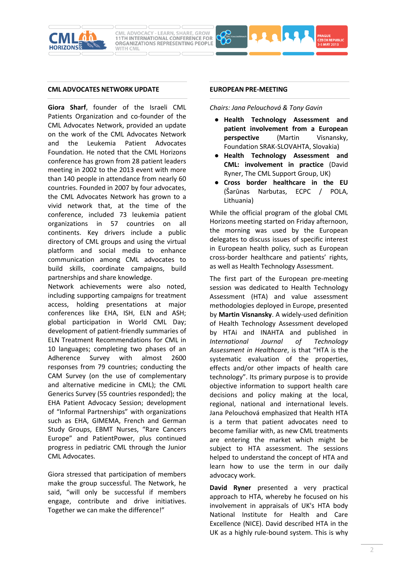



#### **CML ADVOCATES NETWORK UPDATE**

**Giora Sharf**, founder of the Israeli CML Patients Organization and co-founder of the CML Advocates Network, provided an update on the work of the CML Advocates Network and the Leukemia Patient Advocates Foundation. He noted that the CML Horizons conference has grown from 28 patient leaders meeting in 2002 to the 2013 event with more than 140 people in attendance from nearly 60 countries. Founded in 2007 by four advocates, the CML Advocates Network has grown to a vivid network that, at the time of the conference, included 73 leukemia patient organizations in 57 countries on all continents. Key drivers include a public directory of CML groups and using the virtual platform and social media to enhance communication among CML advocates to build skills, coordinate campaigns, build partnerships and share knowledge.

Network achievements were also noted, including supporting campaigns for treatment access, holding presentations at major conferences like EHA, ISH, ELN and ASH; global participation in World CML Day; development of patient-friendly summaries of ELN Treatment Recommendations for CML in 10 languages; completing two phases of an Adherence Survey with almost 2600 responses from 79 countries; conducting the CAM Survey (on the use of complementary and alternative medicine in CML); the CML Generics Survey (55 countries responded); the EHA Patient Advocacy Session; development of "Informal Partnerships" with organizations such as EHA, GIMEMA, French and German Study Groups, EBMT Nurses, "Rare Cancers Europe" and PatientPower, plus continued progress in pediatric CML through the Junior CML Advocates.

Giora stressed that participation of members make the group successful. The Network, he said, "will only be successful if members engage, contribute and drive initiatives. Together we can make the difference!"

#### **EUROPEAN PRE-MEETING**

*Chairs: Jana Pelouchová & Tony Gavin*

- **Health Technology Assessment and patient involvement from a European perspective** (Martin Visnansky, Foundation SRAK-SLOVAHTA, Slovakia)
- **Health Technology Assessment and CML: involvement in practice** (David Ryner, The CML Support Group, UK)
- **Cross border healthcare in the EU**  (Šarūnas Narbutas, ECPC / POLA, Lithuania)

While the official program of the global CML Horizons meeting started on Friday afternoon, the morning was used by the European delegates to discuss issues of specific interest in European health policy, such as European cross-border healthcare and patients' rights, as well as Health Technology Assessment.

The first part of the European pre-meeting session was dedicated to Health Technology Assessment (HTA) and value assessment methodologies deployed in Europe, presented by **Martin Visnansky**. A widely-used definition of Health Technology Assessment developed by HTAi and INAHTA and published in *International Journal of Technology Assessment in Healthcare*, is that "HTA is the systematic evaluation of the properties, effects and/or other impacts of health care technology". Its primary purpose is to provide objective information to support health care decisions and policy making at the local, regional, national and international levels. Jana Pelouchová emphasized that Health HTA is a term that patient advocates need to become familiar with, as new CML treatments are entering the market which might be subject to HTA assessment. The sessions helped to understand the concept of HTA and learn how to use the term in our daily advocacy work.

**David Ryner** presented a very practical approach to HTA, whereby he focused on his involvement in appraisals of UK's HTA body National Institute for Health and Care Excellence (NICE). David described HTA in the UK as a highly rule-bound system. This is why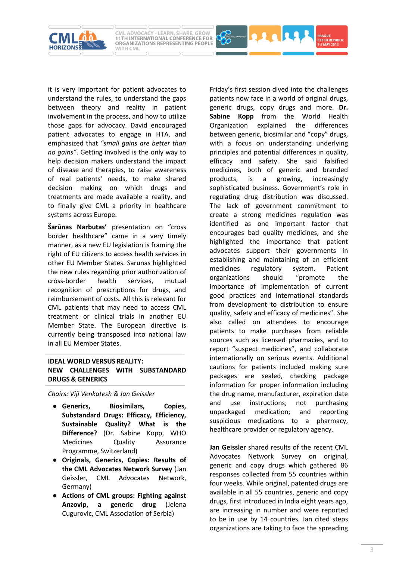

it is very important for patient advocates to understand the rules, to understand the gaps between theory and reality in patient involvement in the process, and how to utilize those gaps for advocacy. David encouraged patient advocates to engage in HTA, and emphasized that *"small gains are better than no gains"*. Getting involved is the only way to help decision makers understand the impact of disease and therapies, to raise awareness of real patients' needs, to make shared decision making on which drugs and treatments are made available a reality, and to finally give CML a priority in healthcare systems across Europe.

**Šarūnas Narbutas'** presentation on "cross border healthcare" came in a very timely manner, as a new EU legislation is framing the right of EU citizens to access health services in other EU Member States. Sarunas highlighted the new rules regarding prior authorization of cross-border health services, mutual recognition of prescriptions for drugs, and reimbursement of costs. All this is relevant for CML patients that may need to access CML treatment or clinical trials in another EU Member State. The European directive is currently being transposed into national law in all EU Member States.

# **IDEAL WORLD VERSUS REALITY: NEW CHALLENGES WITH SUBSTANDARD DRUGS & GENERICS**

*Chairs: Viji Venkatesh & Jan Geissler* 

- **Generics, Biosimilars, Copies, Substandard Drugs: Efficacy, Efficiency, Sustainable Quality? What is the Difference?** (Dr. Sabine Kopp, WHO Medicines Quality Assurance Programme, Switzerland)
- **Originals, Generics, Copies: Results of the CML Advocates Network Survey** (Jan Geissler, CML Advocates Network, Germany)
- **Actions of CML groups: Fighting against Anzovip, a generic drug** (Jelena Cugurovic, CML Association of Serbia)

Friday's first session dived into the challenges patients now face in a world of original drugs, generic drugs, copy drugs and more. **Dr. Sabine Kopp** from the World Health Organization explained the differences between generic, biosimilar and "copy" drugs, with a focus on understanding underlying principles and potential differences in quality, efficacy and safety. She said falsified medicines, both of generic and branded products, is a growing, increasingly sophisticated business. Government's role in regulating drug distribution was discussed. The lack of government commitment to create a strong medicines regulation was identified as one important factor that encourages bad quality medicines, and she highlighted the importance that patient advocates support their governments in establishing and maintaining of an efficient medicines regulatory system. Patient organizations should "promote the importance of implementation of current good practices and international standards from development to distribution to ensure quality, safety and efficacy of medicines". She also called on attendees to encourage patients to make purchases from reliable sources such as licensed pharmacies, and to report "suspect medicines", and collaborate internationally on serious events. Additional cautions for patients included making sure packages are sealed, checking package information for proper information including the drug name, manufacturer, expiration date and use instructions; not purchasing unpackaged medication; and reporting suspicious medications to a pharmacy, healthcare provider or regulatory agency.

**RAARA** 

**Jan Geissler** shared results of the recent CML Advocates Network Survey on original, generic and copy drugs which gathered 86 responses collected from 55 countries within four weeks. While original, patented drugs are available in all 55 countries, generic and copy drugs, first introduced in India eight years ago, are increasing in number and were reported to be in use by 14 countries. Jan cited steps organizations are taking to face the spreading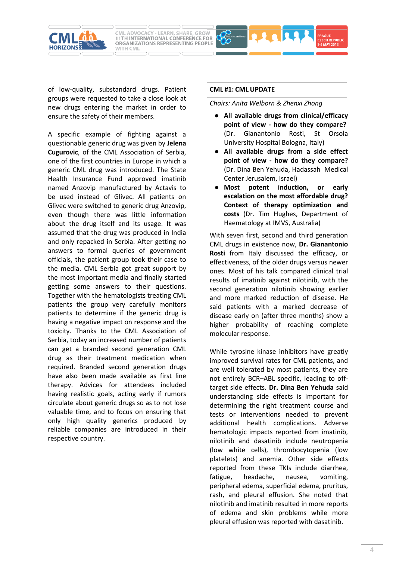of low-quality, substandard drugs. Patient groups were requested to take a close look at new drugs entering the market in order to ensure the safety of their members.

WITH CML

**CML ADVOCACY - LEARN, SHARE, GROW**<br>11TH INTERNATIONAL CONFERENCE FOR ORGANIZATIONS REPRESENTING PEOPLE

A specific example of fighting against a questionable generic drug was given by **Jelena Cugurovic**, of the CML Association of Serbia, one of the first countries in Europe in which a generic CML drug was introduced. The State Health Insurance Fund approved imatinib named Anzovip manufactured by Actavis to be used instead of Glivec. All patients on Glivec were switched to generic drug Anzovip, even though there was little information about the drug itself and its usage. It was assumed that the drug was produced in India and only repacked in Serbia. After getting no answers to formal queries of government officials, the patient group took their case to the media. CML Serbia got great support by the most important media and finally started getting some answers to their questions. Together with the hematologists treating CML patients the group very carefully monitors patients to determine if the generic drug is having a negative impact on response and the toxicity. Thanks to the CML Association of Serbia, today an increased number of patients can get a branded second generation CML drug as their treatment medication when required. Branded second generation drugs have also been made available as first line therapy. Advices for attendees included having realistic goals, acting early if rumors circulate about generic drugs so as to not lose valuable time, and to focus on ensuring that only high quality generics produced by reliable companies are introduced in their respective country.

#### **CML #1: CML UPDATE**

#### *Chairs: Anita Welborn & Zhenxi Zhong*

- **All available drugs from clinical/efficacy point of view - how do they compare?** (Dr. Gianantonio Rosti, St Orsola University Hospital Bologna, Italy)
- **All available drugs from a side effect point of view - how do they compare?** (Dr. Dina Ben Yehuda, Hadassah Medical Center Jerusalem, Israel)
- **Most potent induction, or early escalation on the most affordable drug? Context of therapy optimization and costs** (Dr. Tim Hughes, Department of Haematology at IMVS, Australia)

With seven first, second and third generation CML drugs in existence now, **Dr. Gianantonio Rosti** from Italy discussed the efficacy, or effectiveness, of the older drugs versus newer ones. Most of his talk compared clinical trial results of imatinib against nilotinib, with the second generation nilotinib showing earlier and more marked reduction of disease. He said patients with a marked decrease of disease early on (after three months) show a higher probability of reaching complete molecular response.

While tyrosine kinase inhibitors have greatly improved survival rates for CML patients, and are well tolerated by most patients, they are not entirely BCR–ABL specific, leading to offtarget side effects. **Dr. Dina Ben Yehuda** said understanding side effects is important for determining the right treatment course and tests or interventions needed to prevent additional health complications. Adverse hematologic impacts reported from imatinib, nilotinib and dasatinib include neutropenia (low white cells), thrombocytopenia (low platelets) and anemia. Other side effects reported from these TKIs include diarrhea, fatigue, headache, nausea, vomiting, peripheral edema, superficial edema, pruritus, rash, and pleural effusion. She noted that nilotinib and imatinib resulted in more reports of edema and skin problems while more pleural effusion was reported with dasatinib.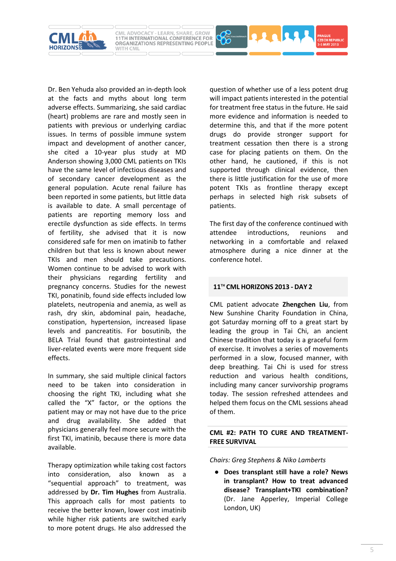

Dr. Ben Yehuda also provided an in-depth look at the facts and myths about long term adverse effects. Summarizing, she said cardiac (heart) problems are rare and mostly seen in patients with previous or underlying cardiac issues. In terms of possible immune system impact and development of another cancer, she cited a 10-year plus study at MD Anderson showing 3,000 CML patients on TKIs have the same level of infectious diseases and of secondary cancer development as the general population. Acute renal failure has been reported in some patients, but little data is available to date. A small percentage of patients are reporting memory loss and erectile dysfunction as side effects. In terms of fertility, she advised that it is now considered safe for men on imatinib to father children but that less is known about newer TKIs and men should take precautions. Women continue to be advised to work with their physicians regarding fertility and pregnancy concerns. Studies for the newest TKI, ponatinib, found side effects included low platelets, neutropenia and anemia, as well as rash, dry skin, abdominal pain, headache, constipation, hypertension, increased lipase levels and pancreatitis. For bosutinib, the BELA Trial found that gastrointestinal and liver-related events were more frequent side effects.

In summary, she said multiple clinical factors need to be taken into consideration in choosing the right TKI, including what she called the "X" factor, or the options the patient may or may not have due to the price and drug availability. She added that physicians generally feel more secure with the first TKI, imatinib, because there is more data available.

Therapy optimization while taking cost factors into consideration, also known as a "sequential approach" to treatment, was addressed by **Dr. Tim Hughes** from Australia. This approach calls for most patients to receive the better known, lower cost imatinib while higher risk patients are switched early to more potent drugs. He also addressed the question of whether use of a less potent drug will impact patients interested in the potential for treatment free status in the future. He said more evidence and information is needed to determine this, and that if the more potent drugs do provide stronger support for treatment cessation then there is a strong case for placing patients on them. On the other hand, he cautioned, if this is not supported through clinical evidence, then there is little justification for the use of more potent TKIs as frontline therapy except perhaps in selected high risk subsets of patients.

1113

The first day of the conference continued with attendee introductions, reunions and networking in a comfortable and relaxed atmosphere during a nice dinner at the conference hotel.

# **11TH CML HORIZONS 2013 - DAY 2**

CML patient advocate **Zhengchen Liu**, from New Sunshine Charity Foundation in China, got Saturday morning off to a great start by leading the group in Tai Chi, an ancient Chinese tradition that today is a graceful form of exercise. It involves a series of movements performed in a slow, focused manner, with deep breathing. Tai Chi is used for stress reduction and various health conditions, including many cancer survivorship programs today. The session refreshed attendees and helped them focus on the CML sessions ahead of them.

## **CML #2: PATH TO CURE AND TREATMENT-FREE SURVIVAL**

*Chairs: Greg Stephens & Niko Lamberts*

● **Does transplant still have a role? News in transplant? How to treat advanced disease? Transplant+TKI combination?** (Dr. Jane Apperley, Imperial College London, UK)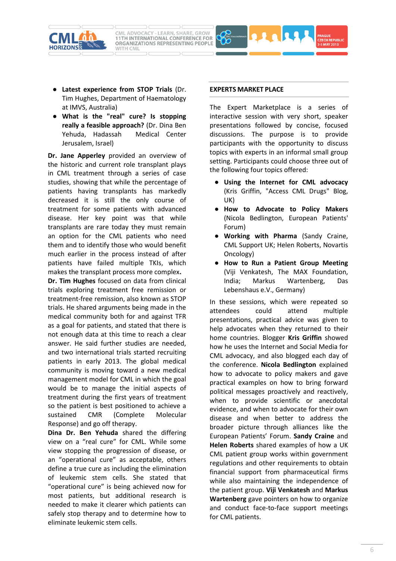



- **Latest experience from STOP Trials** (Dr. Tim Hughes, Department of Haematology at IMVS, Australia)
- **What is the "real" cure? Is stopping really a feasible approach?** (Dr. Dina Ben Yehuda, Hadassah Medical Center Jerusalem, Israel)

**Dr. Jane Apperley** provided an overview of the historic and current role transplant plays in CML treatment through a series of case studies, showing that while the percentage of patients having transplants has markedly decreased it is still the only course of treatment for some patients with advanced disease. Her key point was that while transplants are rare today they must remain an option for the CML patients who need them and to identify those who would benefit much earlier in the process instead of after patients have failed multiple TKIs, which makes the transplant process more complex**.** 

**Dr. Tim Hughes** focused on data from clinical trials exploring treatment free remission or treatment-free remission, also known as STOP trials. He shared arguments being made in the medical community both for and against TFR as a goal for patients, and stated that there is not enough data at this time to reach a clear answer. He said further studies are needed, and two international trials started recruiting patients in early 2013. The global medical community is moving toward a new medical management model for CML in which the goal would be to manage the initial aspects of treatment during the first years of treatment so the patient is best positioned to achieve a sustained CMR (Complete Molecular Response) and go off therapy.

**Dina Dr. Ben Yehuda** shared the differing view on a "real cure" for CML. While some view stopping the progression of disease, or an "operational cure" as acceptable, others define a true cure as including the elimination of leukemic stem cells. She stated that "operational cure" is being achieved now for most patients, but additional research is needed to make it clearer which patients can safely stop therapy and to determine how to eliminate leukemic stem cells.

#### **EXPERTS MARKET PLACE**

The Expert Marketplace is a series of interactive session with very short, speaker presentations followed by concise, focused discussions. The purpose is to provide participants with the opportunity to discuss topics with experts in an informal small group setting. Participants could choose three out of the following four topics offered:

- **Using the Internet for CML advocacy** (Kris Griffin, "Access CML Drugs" Blog, UK)
- **How to Advocate to Policy Makers** (Nicola Bedlington, European Patients' Forum)
- **Working with Pharma** (Sandy Craine, CML Support UK; Helen Roberts, Novartis Oncology)
- **How to Run a Patient Group Meeting** (Viji Venkatesh, The MAX Foundation, India; Markus Wartenberg, Das Lebenshaus e.V., Germany)

In these sessions, which were repeated so attendees could attend multiple presentations, practical advice was given to help advocates when they returned to their home countries. Blogger **Kris Griffin** showed how he uses the Internet and Social Media for CML advocacy, and also blogged each day of the conference. **Nicola Bedlington** explained how to advocate to policy makers and gave practical examples on how to bring forward political messages proactively and reactively, when to provide scientific or anecdotal evidence, and when to advocate for their own disease and when better to address the broader picture through alliances like the European Patients' Forum. **Sandy Craine** and **Helen Roberts** shared examples of how a UK CML patient group works within government regulations and other requirements to obtain financial support from pharmaceutical firms while also maintaining the independence of the patient group. **Viji Venkatesh** and **Markus Wartenberg** gave pointers on how to organize and conduct face-to-face support meetings for CML patients.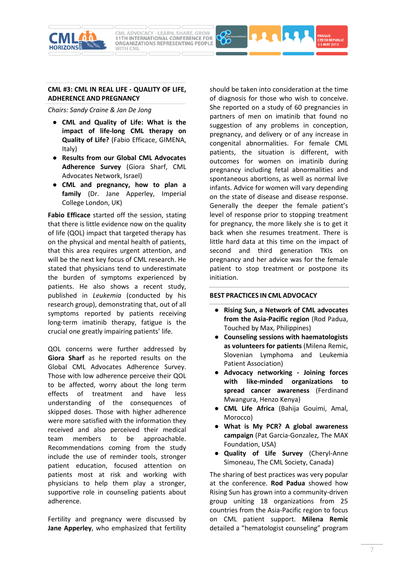



*Chairs: Sandy Craine & Jan De Jong*

- **CML and Quality of Life: What is the impact of life-long CML therapy on Quality of Life?** (Fabio Efficace, GIMENA, Italy)
- **Results from our Global CML Advocates Adherence Survey** (Giora Sharf, CML Advocates Network, Israel)
- **CML and pregnancy, how to plan a family** (Dr. Jane Apperley, Imperial College London, UK)

**Fabio Efficace** started off the session, stating that there is little evidence now on the quality of life (QOL) impact that targeted therapy has on the physical and mental health of patients, that this area requires urgent attention, and will be the next key focus of CML research. He stated that physicians tend to underestimate the burden of symptoms experienced by patients. He also shows a recent study, published in *Leukemia* (conducted by his research group), demonstrating that, out of all symptoms reported by patients receiving long-term imatinib therapy, fatigue is the crucial one greatly impairing patients' life.

QOL concerns were further addressed by **Giora Sharf** as he reported results on the Global CML Advocates Adherence Survey. Those with low adherence perceive their QOL to be affected, worry about the long term effects of treatment and have less understanding of the consequences of skipped doses. Those with higher adherence were more satisfied with the information they received and also perceived their medical team members to be approachable. Recommendations coming from the study include the use of reminder tools, stronger patient education, focused attention on patients most at risk and working with physicians to help them play a stronger, supportive role in counseling patients about adherence.

Fertility and pregnancy were discussed by **Jane Apperley**, who emphasized that fertility should be taken into consideration at the time of diagnosis for those who wish to conceive. She reported on a study of 60 pregnancies in partners of men on imatinib that found no suggestion of any problems in conception, pregnancy, and delivery or of any increase in congenital abnormalities. For female CML patients, the situation is different, with outcomes for women on imatinib during pregnancy including fetal abnormalities and spontaneous abortions, as well as normal live infants. Advice for women will vary depending on the state of disease and disease response. Generally the deeper the female patient's level of response prior to stopping treatment for pregnancy, the more likely she is to get it back when she resumes treatment. There is little hard data at this time on the impact of second and third generation TKIs on pregnancy and her advice was for the female patient to stop treatment or postpone its initiation.

**RAARA** 

## **BEST PRACTICES IN CML ADVOCACY**

- **Rising Sun, a Network of CML advocates from the Asia-Pacific region** (Rod Padua, Touched by Max, Philippines)
- **Counseling sessions with haematologists as volunteers for patients** (Milena Remic, Slovenian Lymphoma and Leukemia Patient Association)
- **Advocacy networking - Joining forces with like-minded organizations to spread cancer awareness** (Ferdinand Mwangura, Henzo Kenya)
- **CML Life Africa** (Bahija Gouimi, Amal, Morocco)
- **What is My PCR? A global awareness campaign** (Pat Garcia-Gonzalez, The MAX Foundation, USA)
- **Quality of Life Survey** (Cheryl-Anne Simoneau, The CML Society, Canada)

The sharing of best practices was very popular at the conference. **Rod Padua** showed how Rising Sun has grown into a community-driven group uniting 18 organizations from 25 countries from the Asia-Pacific region to focus on CML patient support. **Milena Remic** detailed a "hematologist counseling" program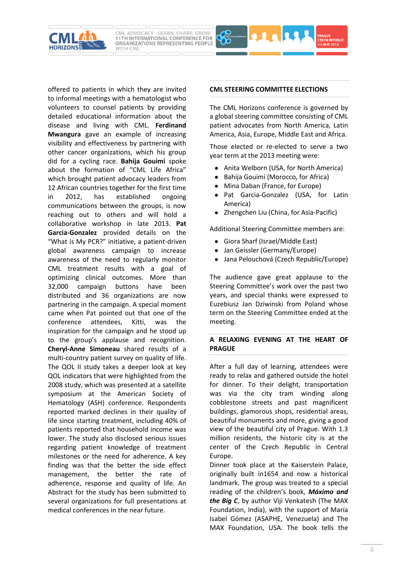

to informal meetings with a hematologist who volunteers to counsel patients by providing detailed educational information about the disease and living with CML. **Ferdinand Mwangura** gave an example of increasing visibility and effectiveness by partnering with other cancer organizations, which his group did for a cycling race. **Bahija Gouimi** spoke about the formation of "CML Life Africa" which brought patient advocacy leaders from 12 African countries together for the first time in 2012, has established ongoing communications between the groups, is now reaching out to others and will hold a collaborative workshop in late 2013. **Pat Garcia-Gonzalez** provided details on the "What is My PCR?" initiative, a patient-driven global awareness campaign to increase awareness of the need to regularly monitor CML treatment results with a goal of optimizing clinical outcomes. More than 32,000 campaign buttons have been distributed and 36 organizations are now partnering in the campaign. A special moment came when Pat pointed out that one of the conference attendees, Kitti, was the inspiration for the campaign and he stood up to the group's applause and recognition. **Cheryl-Anne Simoneau** shared results of a multi-country patient survey on quality of life. The QOL II study takes a deeper look at key QOL indicators that were highlighted from the 2008 study, which was presented at a satellite symposium at the American Society of Hematology (ASH) conference. Respondents reported marked declines in their quality of life since starting treatment, including 40% of patients reported that household income was lower. The study also disclosed serious issues regarding patient knowledge of treatment milestones or the need for adherence. A key finding was that the better the side effect management, the better the rate of adherence, response and quality of life. An Abstract for the study has been submitted to several organizations for full presentations at medical conferences in the near future.

offered to patients in which they are invited

WITH CML

### **CML STEERING COMMITTEE ELECTIONS**

22223

The CML Horizons conference is governed by a global steering committee consisting of CML patient advocates from North America, Latin America, Asia, Europe, Middle East and Africa.

Those elected or re-elected to serve a two year term at the 2013 meeting were:

- Anita Welborn (USA, for North America)
- Bahija Gouimi (Morocco, for Africa)
- Mina Daban (France, for Europe)
- Pat Garcia-Gonzalez (USA, for Latin America)
- Zhengchen Liu (China, for Asia-Pacific)

Additional Steering Committee members are:

- Giora Sharf (Israel/Middle East)
- Jan Geissler (Germany/Europe)
- Jana Pelouchová (Czech Republic/Europe)

The audience gave great applause to the Steering Committee's work over the past two years, and special thanks were expressed to Euzebiusz Jan Dziwinski from Poland whose term on the Steering Committee ended at the meeting.

## **A RELAXING EVENING AT THE HEART OF PRAGUE**

After a full day of learning, attendees were ready to relax and gathered outside the hotel for dinner. To their delight, transportation was via the city tram winding along cobblestone streets and past magnificent buildings, glamorous shops, residential areas, beautiful monuments and more, giving a good view of the beautiful city of Prague. With 1.3 million residents, the historic city is at the center of the Czech Republic in Central Europe.

Dinner took place at the Kaiserstein Palace, originally built in1654 and now a historical landmark. The group was treated to a special reading of the children's book, *Máximo and the Big C*, by author Viji Venkatesh (The MAX Foundation, India), with the support of María Isabel Gómez (ASAPHE, Venezuela) and The MAX Foundation, USA. The book tells the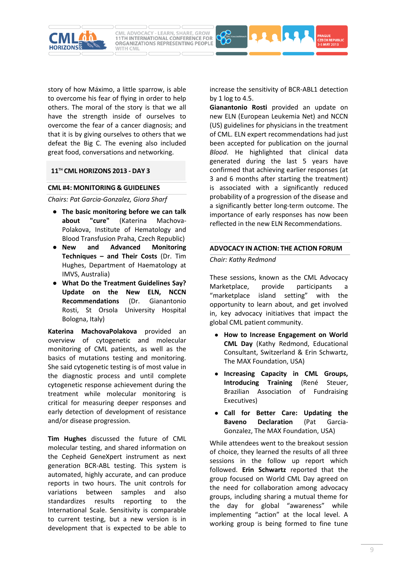

story of how Máximo, a little sparrow, is able to overcome his fear of flying in order to help others. The moral of the story is that we all have the strength inside of ourselves to overcome the fear of a cancer diagnosis; and that it is by giving ourselves to others that we defeat the Big C. The evening also included

great food, conversations and networking.

# **11TH CML HORIZONS 2013 - DAY 3**

# **CML #4: MONITORING & GUIDELINES**

*Chairs: Pat Garcia-Gonzalez, Giora Sharf* 

- **The basic monitoring before we can talk about "cure"** (Katerina Machova-Polakova, Institute of Hematology and Blood Transfusion Praha, Czech Republic)
- **New and Advanced Monitoring Techniques – and Their Costs** (Dr. Tim Hughes, Department of Haematology at IMVS, Australia)
- **What Do the Treatment Guidelines Say? Update on the New ELN, NCCN Recommendations** (Dr. Gianantonio Rosti, St Orsola University Hospital Bologna, Italy)

**Katerina MachovaPolakova** provided an overview of cytogenetic and molecular monitoring of CML patients, as well as the basics of mutations testing and monitoring. She said cytogenetic testing is of most value in the diagnostic process and until complete cytogenetic response achievement during the treatment while molecular monitoring is critical for measuring deeper responses and early detection of development of resistance and/or disease progression.

**Tim Hughes** discussed the future of CML molecular testing, and shared information on the Cepheid GeneXpert instrument as next generation BCR-ABL testing. This system is automated, highly accurate, and can produce reports in two hours. The unit controls for variations between samples and also standardizes results reporting to the International Scale. Sensitivity is comparable to current testing, but a new version is in development that is expected to be able to

increase the sensitivity of BCR-ABL1 detection by 1 log to 4.5.

**Gianantonio Rosti** provided an update on new ELN (European Leukemia Net) and NCCN (US) guidelines for physicians in the treatment of CML. ELN expert recommendations had just been accepted for publication on the journal *Blood*. He highlighted that clinical data generated during the last 5 years have confirmed that achieving earlier responses (at 3 and 6 months after starting the treatment) is associated with a significantly reduced probability of a progression of the disease and a significantly better long-term outcome. The importance of early responses has now been reflected in the new ELN Recommendations.

## **ADVOCACY IN ACTION: THE ACTION FORUM**

# *Chair: Kathy Redmond*

These sessions, known as the CML Advocacy Marketplace, provide participants a "marketplace island setting" with the opportunity to learn about, and get involved in, key advocacy initiatives that impact the global CML patient community.

- **How to Increase Engagement on World CML Day** (Kathy Redmond, Educational Consultant, Switzerland & Erin Schwartz, The MAX Foundation, USA)
- **Increasing Capacity in CML Groups, Introducing Training** (René Steuer, Brazilian Association of Fundraising Executives)
- **Call for Better Care: Updating the Baveno Declaration** (Pat Garcia-Gonzalez, The MAX Foundation, USA)

While attendees went to the breakout session of choice, they learned the results of all three sessions in the follow up report which followed. **Erin Schwartz** reported that the group focused on World CML Day agreed on the need for collaboration among advocacy groups, including sharing a mutual theme for the day for global "awareness" while implementing "action" at the local level. A working group is being formed to fine tune